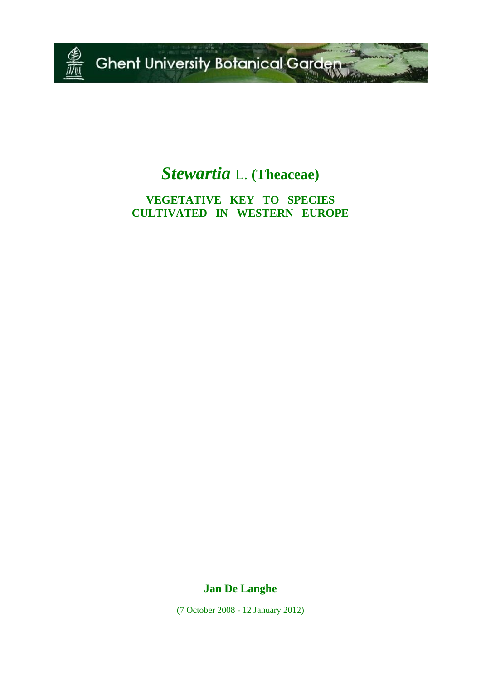

# *Stewartia* L. **(Theaceae)**

**VEGETATIVE KEY TO SPECIES CULTIVATED IN WESTERN EUROPE**

**Jan De Langhe**

(7 October 2008 - 12 January 2012)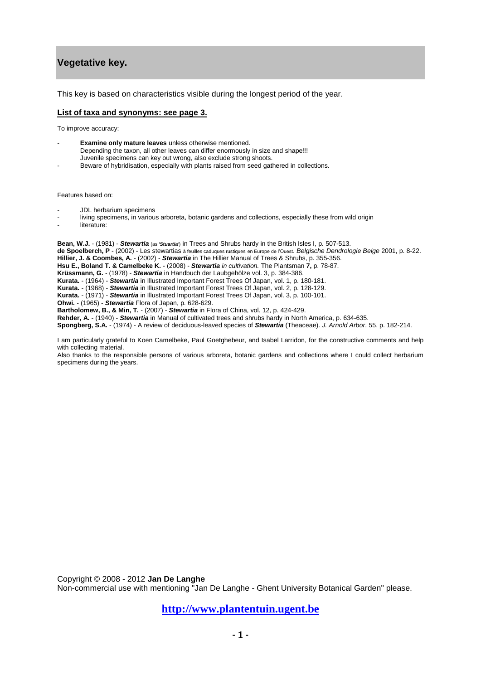## **Vegetative key.**

This key is based on characteristics visible during the longest period of the year.

#### **List of taxa and synonyms: see page 3.**

To improve accuracy:

- **Examine only mature leaves** unless otherwise mentioned.
- Depending the taxon, all other leaves can differ enormously in size and shape!!! Juvenile specimens can key out wrong, also exclude strong shoots.
- Beware of hybridisation, especially with plants raised from seed gathered in collections.

Features based on:

- JDL herbarium specimens
- living specimens, in various arboreta, botanic gardens and collections, especially these from wild origin
- literature:

**Bean, W.J.** - (1981) - *Stewartia* (as *'Stuartia'*) in Trees and Shrubs hardy in the British Isles I, p. 507-513. **de Spoelberch, P** - (2002) - Les stewartias à feuilles caduques rustiques en Europe de l'Ouest. *Belgische Dendrologie Belge* 2001, p. 8-22. **Hillier, J. & Coombes, A.** - (2002) - *Stewartia* in The Hillier Manual of Trees & Shrubs, p. 355-356. **Hsu E., Boland T. & Camelbeke K.** - (2008) - *Stewartia [in cultivation.](http://www.arboretumwespelaar.be/userfiles/file/pdf/080600_Stewartia%20Plantsman%20published.pdf)* The Plantsman **7,** p. 78-87. **Krüssmann, G.** - (1978) - *Stewartia* in Handbuch der Laubgehölze vol. 3, p. 384-386. **Kurata.** - (1964) - *Stewartia* in Illustrated Important Forest Trees Of Japan, vol. 1, p. 180-181. **Kurata.** - (1968) - *Stewartia* in Illustrated Important Forest Trees Of Japan, vol. 2, p. 128-129. **Kurata.** - (1971) - *Stewartia* in Illustrated Important Forest Trees Of Japan, vol. 3, p. 100-101. **Ohwi.** - (1965) - *Stewartia* Flora of Japan, p. 628-629. **Bartholomew, B., & Min, T.** - (2007) - *Stewartia* in Flora of China, vol. 12, p. 424-429. **Rehder, A.** - (1940) - *Stewartia* in Manual of cultivated trees and shrubs hardy in North America, p. 634-635. **Spongberg, S.A.** - (1974) - A review of deciduous-leaved species of *Stewartia* (Theaceae). *J. Arnold Arbor*. 55, p. 182-214.

I am particularly grateful to Koen Camelbeke, Paul Goetghebeur, and Isabel Larridon, for the constructive comments and help with collecting material.

Also thanks to the responsible persons of various arboreta, botanic gardens and collections where I could collect herbarium specimens during the years.

Copyright © 2008 - 2012 **Jan De Langhe** 

Non-commercial use with mentioning "Jan De Langhe - Ghent University Botanical Garden" please.

**[http://www.plantentuin.ugent.be](http://www.plantentuin.ugent.be/)**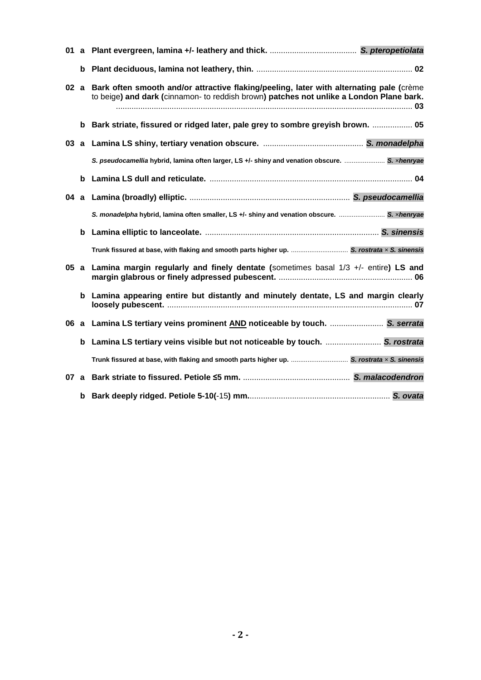| 01  |      |                                                                                                                                                                                         |
|-----|------|-----------------------------------------------------------------------------------------------------------------------------------------------------------------------------------------|
|     |      |                                                                                                                                                                                         |
|     |      | 02 a Bark often smooth and/or attractive flaking/peeling, later with alternating pale (crème<br>to beige) and dark (cinnamon- to reddish brown) patches not unlike a London Plane bark. |
|     |      | b Bark striate, fissured or ridged later, pale grey to sombre greyish brown.  05                                                                                                        |
|     |      |                                                                                                                                                                                         |
|     |      | S. pseudocamellia hybrid, lamina often larger, LS +/- shiny and venation obscure.  S. xhenryae                                                                                          |
|     | b    |                                                                                                                                                                                         |
|     |      |                                                                                                                                                                                         |
|     |      | S. monadelpha hybrid, lamina often smaller, LS +/- shiny and venation obscure.  S. xhenryae                                                                                             |
|     | b    |                                                                                                                                                                                         |
|     |      | Trunk fissured at base, with flaking and smooth parts higher up.  S. rostrata x S. sinensis                                                                                             |
| 05a |      | Lamina margin regularly and finely dentate (sometimes basal $1/3$ +/- entire) LS and                                                                                                    |
|     |      | b Lamina appearing entire but distantly and minutely dentate, LS and margin clearly                                                                                                     |
|     |      | 06 a Lamina LS tertiary veins prominent AND noticeable by touch.  S. serrata                                                                                                            |
|     | b    | Lamina LS tertiary veins visible but not noticeable by touch.  S. rostrata                                                                                                              |
|     |      | Trunk fissured at base, with flaking and smooth parts higher up.  S. rostrata x S. sinensis                                                                                             |
|     | 07 a |                                                                                                                                                                                         |
|     | b    |                                                                                                                                                                                         |